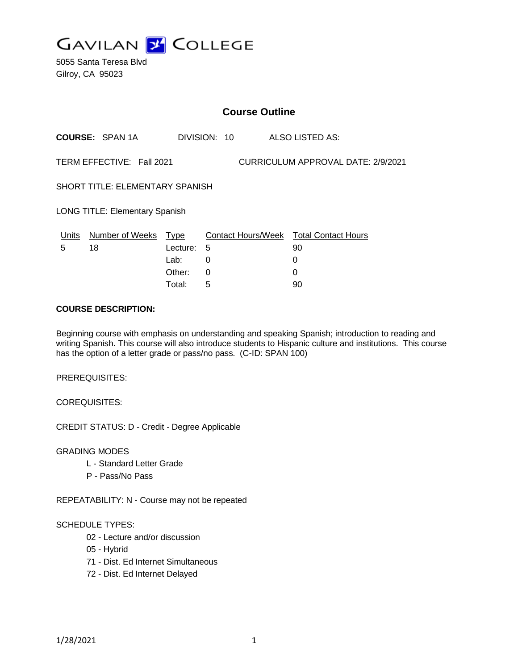

5055 Santa Teresa Blvd Gilroy, CA 95023

|                                                                 | <b>Course Outline</b>      |              |                                        |  |  |    |                        |  |
|-----------------------------------------------------------------|----------------------------|--------------|----------------------------------------|--|--|----|------------------------|--|
|                                                                 | <b>COURSE: SPAN 1A</b>     | DIVISION: 10 |                                        |  |  |    | <b>ALSO LISTED AS:</b> |  |
| TERM EFFECTIVE: Fall 2021<br>CURRICULUM APPROVAL DATE: 2/9/2021 |                            |              |                                        |  |  |    |                        |  |
| SHORT TITLE: ELEMENTARY SPANISH                                 |                            |              |                                        |  |  |    |                        |  |
| <b>LONG TITLE: Elementary Spanish</b>                           |                            |              |                                        |  |  |    |                        |  |
|                                                                 | Units Number of Weeks Type |              | Contact Hours/Week Total Contact Hours |  |  |    |                        |  |
| 5                                                               | 18                         | Lecture: 5   |                                        |  |  | 90 |                        |  |
|                                                                 |                            | Lab:         | 0                                      |  |  | 0  |                        |  |
|                                                                 |                            | Other:       | 0                                      |  |  | 0  |                        |  |
|                                                                 |                            | Total:       | 5                                      |  |  | 90 |                        |  |

#### **COURSE DESCRIPTION:**

Beginning course with emphasis on understanding and speaking Spanish; introduction to reading and writing Spanish. This course will also introduce students to Hispanic culture and institutions. This course has the option of a letter grade or pass/no pass. (C-ID: SPAN 100)

PREREQUISITES:

COREQUISITES:

CREDIT STATUS: D - Credit - Degree Applicable

GRADING MODES

- L Standard Letter Grade
- P Pass/No Pass

REPEATABILITY: N - Course may not be repeated

#### SCHEDULE TYPES:

- 02 Lecture and/or discussion
- 05 Hybrid
- 71 Dist. Ed Internet Simultaneous
- 72 Dist. Ed Internet Delayed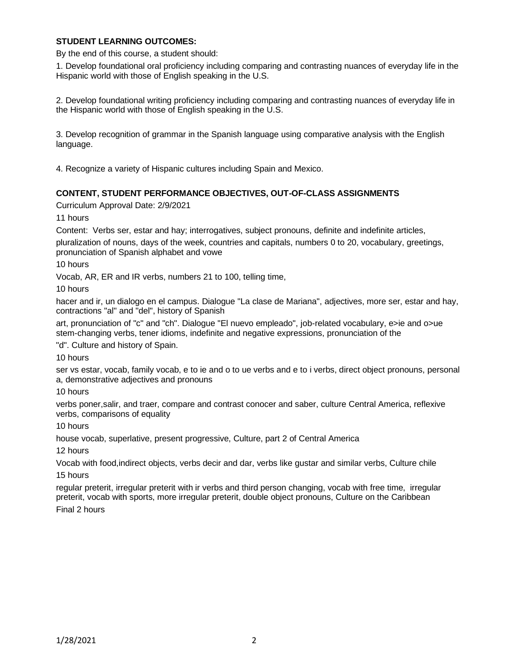## **STUDENT LEARNING OUTCOMES:**

By the end of this course, a student should:

1. Develop foundational oral proficiency including comparing and contrasting nuances of everyday life in the Hispanic world with those of English speaking in the U.S.

2. Develop foundational writing proficiency including comparing and contrasting nuances of everyday life in the Hispanic world with those of English speaking in the U.S.

3. Develop recognition of grammar in the Spanish language using comparative analysis with the English language.

4. Recognize a variety of Hispanic cultures including Spain and Mexico.

# **CONTENT, STUDENT PERFORMANCE OBJECTIVES, OUT-OF-CLASS ASSIGNMENTS**

Curriculum Approval Date: 2/9/2021

11 hours

Content: Verbs ser, estar and hay; interrogatives, subject pronouns, definite and indefinite articles,

pluralization of nouns, days of the week, countries and capitals, numbers 0 to 20, vocabulary, greetings, pronunciation of Spanish alphabet and vowe

10 hours

Vocab, AR, ER and IR verbs, numbers 21 to 100, telling time,

10 hours

hacer and ir, un dialogo en el campus. Dialogue "La clase de Mariana", adjectives, more ser, estar and hay, contractions "al" and "del", history of Spanish

art, pronunciation of "c" and "ch". Dialogue "El nuevo empleado", job-related vocabulary, e>ie and o>ue stem-changing verbs, tener idioms, indefinite and negative expressions, pronunciation of the

"d". Culture and history of Spain.

10 hours

ser vs estar, vocab, family vocab, e to ie and o to ue verbs and e to i verbs, direct object pronouns, personal a, demonstrative adjectives and pronouns

10 hours

verbs poner,salir, and traer, compare and contrast conocer and saber, culture Central America, reflexive verbs, comparisons of equality

10 hours

house vocab, superlative, present progressive, Culture, part 2 of Central America

12 hours

Vocab with food,indirect objects, verbs decir and dar, verbs like gustar and similar verbs, Culture chile

15 hours

regular preterit, irregular preterit with ir verbs and third person changing, vocab with free time, irregular preterit, vocab with sports, more irregular preterit, double object pronouns, Culture on the Caribbean

Final 2 hours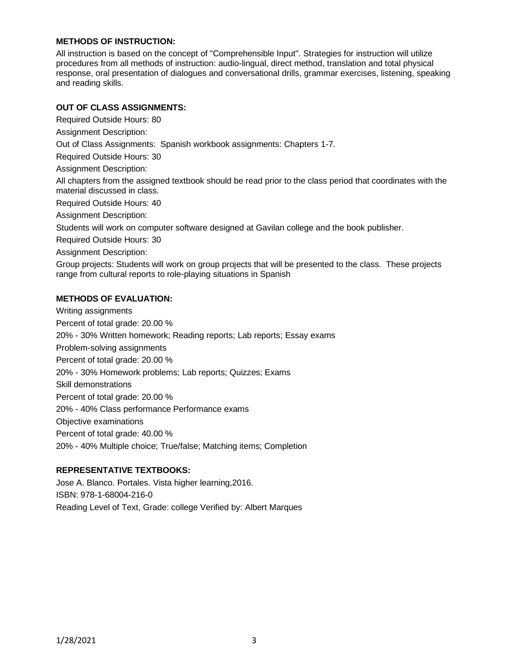## **METHODS OF INSTRUCTION:**

All instruction is based on the concept of "Comprehensible Input". Strategies for instruction will utilize procedures from all methods of instruction: audio-lingual, direct method, translation and total physical response, oral presentation of dialogues and conversational drills, grammar exercises, listening, speaking and reading skills.

### **OUT OF CLASS ASSIGNMENTS:**

Required Outside Hours: 80

Assignment Description:

Out of Class Assignments: Spanish workbook assignments: Chapters 1-7.

Required Outside Hours: 30

Assignment Description:

All chapters from the assigned textbook should be read prior to the class period that coordinates with the material discussed in class.

Required Outside Hours: 40

Assignment Description:

Students will work on computer software designed at Gavilan college and the book publisher.

Required Outside Hours: 30

Assignment Description:

Group projects: Students will work on group projects that will be presented to the class. These projects range from cultural reports to role-playing situations in Spanish

#### **METHODS OF EVALUATION:**

Writing assignments Percent of total grade: 20.00 % 20% - 30% Written homework; Reading reports; Lab reports; Essay exams Problem-solving assignments Percent of total grade: 20.00 % 20% - 30% Homework problems; Lab reports; Quizzes; Exams Skill demonstrations Percent of total grade: 20.00 % 20% - 40% Class performance Performance exams Objective examinations Percent of total grade: 40.00 % 20% - 40% Multiple choice; True/false; Matching items; Completion

### **REPRESENTATIVE TEXTBOOKS:**

Jose A. Blanco. Portales. Vista higher learning,2016. ISBN: 978-1-68004-216-0 Reading Level of Text, Grade: college Verified by: Albert Marques